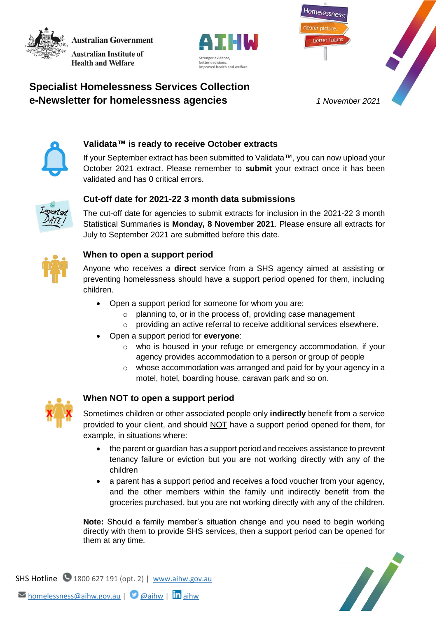**Australian Government Australian Institute of** 

**Health and Welfare** 



Homelessness better future

# **Specialist Homelessness Services Collection e-Newsletter for homelessness agencies** *1 November 2021*



# **Validata™ is ready to receive October extracts**

If your September extract has been submitted to Validata™, you can now upload your October 2021 extract. Please remember to **submit** your extract once it has been validated and has 0 critical errors.



### **Cut-off date for 2021-22 3 month data submissions**

The cut-off date for agencies to submit extracts for inclusion in the 2021-22 3 month Statistical Summaries is **Monday, 8 November 2021**. Please ensure all extracts for July to September 2021 are submitted before this date.



#### **When to open a support period**

Anyone who receives a **direct** service from a SHS agency aimed at assisting or preventing homelessness should have a support period opened for them, including children.

- Open a support period for someone for whom you are:
	- o planning to, or in the process of, providing case management
	- o providing an active referral to receive additional services elsewhere.
- Open a support period for **everyone**:
	- o who is housed in your refuge or emergency accommodation, if your agency provides accommodation to a person or group of people
	- $\circ$  whose accommodation was arranged and paid for by your agency in a motel, hotel, boarding house, caravan park and so on.



### **When NOT to open a support period**

Sometimes children or other associated people only **indirectly** benefit from a service provided to your client, and should NOT have a support period opened for them, for example, in situations where:

- the parent or guardian has a support period and receives assistance to prevent tenancy failure or eviction but you are not working directly with any of the children
- a parent has a support period and receives a food voucher from your agency, and the other members within the family unit indirectly benefit from the groceries purchased, but you are not working directly with any of the children.

**Note:** Should a family member's situation change and you need to begin working directly with them to provide SHS services, then a support period can be opened for them at any time.



SHS Hotline  $\bigcirc$  1800 627 191 (opt. 2) | [www.aihw.gov.au](http://www.aihw.gov.au/) M[homelessness@aihw.gov.au](mailto:homelessness@aihw.gov.au) | @[@aihw](https://twitter.com/aihw) | **in** [aihw](https://www.linkedin.com/company/australian-institute-of-health-and-welfare/)